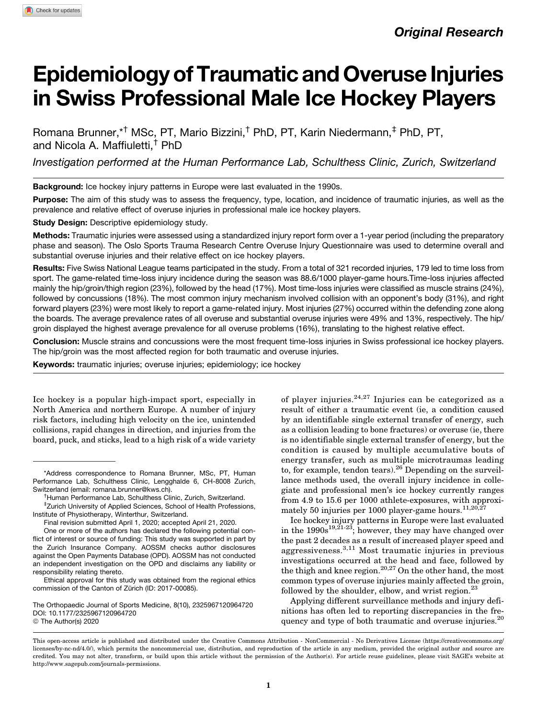# **Epidemiology of Traumatic and Overuse Injuries** in Swiss Professional Male Ice Hockey Players

Romana Brunner,\*† MSc, PT, Mario Bizzini,† PhD, PT, Karin Niedermann,‡ PhD, PT, and Nicola A. Maffiuletti,† PhD

Investigation performed at the Human Performance Lab, Schulthess Clinic, Zurich, Switzerland

Background: Ice hockey injury patterns in Europe were last evaluated in the 1990s.

Purpose: The aim of this study was to assess the frequency, type, location, and incidence of traumatic injuries, as well as the prevalence and relative effect of overuse injuries in professional male ice hockey players.

Study Design: Descriptive epidemiology study.

Methods: Traumatic injuries were assessed using a standardized injury report form over a 1-year period (including the preparatory phase and season). The Oslo Sports Trauma Research Centre Overuse Injury Questionnaire was used to determine overall and substantial overuse injuries and their relative effect on ice hockey players.

Results: Five Swiss National League teams participated in the study. From a total of 321 recorded injuries, 179 led to time loss from sport. The game-related time-loss injury incidence during the season was 88.6/1000 player-game hours.Time-loss injuries affected mainly the hip/groin/thigh region (23%), followed by the head (17%). Most time-loss injuries were classified as muscle strains (24%), followed by concussions (18%). The most common injury mechanism involved collision with an opponent's body (31%), and right forward players (23%) were most likely to report a game-related injury. Most injuries (27%) occurred within the defending zone along the boards. The average prevalence rates of all overuse and substantial overuse injuries were 49% and 13%, respectively. The hip/ groin displayed the highest average prevalence for all overuse problems (16%), translating to the highest relative effect.

Conclusion: Muscle strains and concussions were the most frequent time-loss injuries in Swiss professional ice hockey players. The hip/groin was the most affected region for both traumatic and overuse injuries.

Keywords: traumatic injuries; overuse injuries; epidemiology; ice hockey

Ice hockey is a popular high-impact sport, especially in North America and northern Europe. A number of injury risk factors, including high velocity on the ice, unintended collisions, rapid changes in direction, and injuries from the board, puck, and sticks, lead to a high risk of a wide variety

Ethical approval for this study was obtained from the regional ethics commission of the Canton of Zürich (ID: 2017-00085).

The Orthopaedic Journal of Sports Medicine, 8(10), 2325967120964720 [DOI: 10.1177/2325967120964720](https://doi.org/10.1177/2325967120964720) © The Author(s) 2020

of player injuries.<sup>24,27</sup> Injuries can be categorized as a result of either a traumatic event (ie, a condition caused by an identifiable single external transfer of energy, such as a collision leading to bone fractures) or overuse (ie, there is no identifiable single external transfer of energy, but the condition is caused by multiple accumulative bouts of energy transfer, such as multiple microtraumas leading to, for example, tendon tears). $^{26}$  Depending on the surveillance methods used, the overall injury incidence in collegiate and professional men's ice hockey currently ranges from 4.9 to 15.6 per 1000 athlete-exposures, with approximately 50 injuries per 1000 player-game hours.<sup>11,20,2</sup>

Ice hockey injury patterns in Europe were last evaluated in the  $1990s^{19,21-23}$ ; however, they may have changed over the past 2 decades as a result of increased player speed and aggressiveness.3,11 Most traumatic injuries in previous investigations occurred at the head and face, followed by the thigh and knee region.<sup>20,27</sup> On the other hand, the most common types of overuse injuries mainly affected the groin, followed by the shoulder, elbow, and wrist region. $^{23}$ 

Applying different surveillance methods and injury definitions has often led to reporting discrepancies in the frequency and type of both traumatic and overuse injuries.<sup>20</sup>

<sup>\*</sup>Address correspondence to Romana Brunner, MSc, PT, Human Performance Lab, Schulthess Clinic, Lengghalde 6, CH-8008 Zurich, Switzerland (email: [romana.brunner@kws.ch\)](mailto:romana.brunner@kws.ch). †

<sup>&</sup>lt;sup>†</sup>Human Performance Lab, Schulthess Clinic, Zurich, Switzerland.

<sup>‡</sup> Zurich University of Applied Sciences, School of Health Professions, Institute of Physiotherapy, Winterthur, Switzerland.

Final revision submitted April 1, 2020; accepted April 21, 2020.

One or more of the authors has declared the following potential conflict of interest or source of funding: This study was supported in part by the Zurich Insurance Company. AOSSM checks author disclosures against the Open Payments Database (OPD). AOSSM has not conducted an independent investigation on the OPD and disclaims any liability or responsibility relating thereto.

This open-access article is published and distributed under the Creative Commons Attribution - NonCommercial - No Derivatives License [\(https://creativecommons.org/](https://creativecommons.org/licenses/by-nc-nd/4.0/) [licenses/by-nc-nd/4.0/\)](https://creativecommons.org/licenses/by-nc-nd/4.0/), which permits the noncommercial use, distribution, and reproduction of the article in any medium, provided the original author and source are credited. You may not alter, transform, or build upon this article without the permission of the Author(s). For article reuse guidelines, please visit SAGE's website at http://www.sagepub.com/journals-permissions.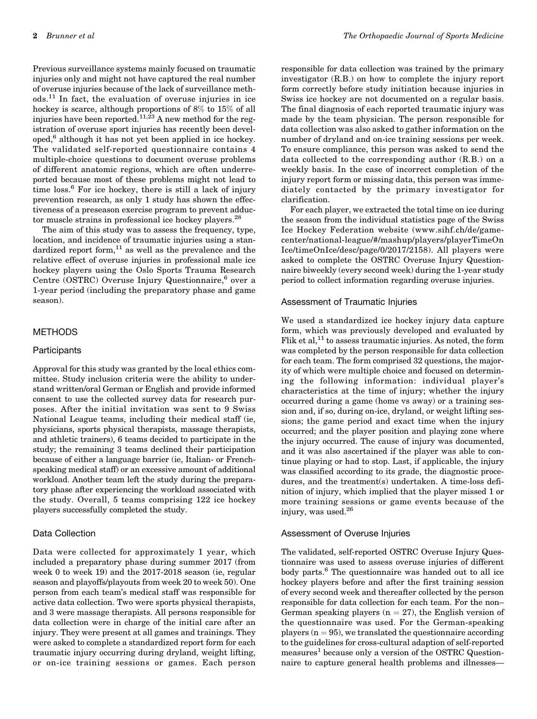Previous surveillance systems mainly focused on traumatic injuries only and might not have captured the real number of overuse injuries because of the lack of surveillance methods.<sup>11</sup> In fact, the evaluation of overuse injuries in ice hockey is scarce, although proportions of 8% to 15% of all injuries have been reported.<sup>11,23</sup> A new method for the registration of overuse sport injuries has recently been developed,<sup>6</sup> although it has not yet been applied in ice hockey. The validated self-reported questionnaire contains 4 multiple-choice questions to document overuse problems of different anatomic regions, which are often underreported because most of these problems might not lead to time loss.<sup>6</sup> For ice hockey, there is still a lack of injury prevention research, as only 1 study has shown the effectiveness of a preseason exercise program to prevent adductor muscle strains in professional ice hockey players.<sup>28</sup>

The aim of this study was to assess the frequency, type, location, and incidence of traumatic injuries using a standardized report form, $11$  as well as the prevalence and the relative effect of overuse injuries in professional male ice hockey players using the Oslo Sports Trauma Research Centre (OSTRC) Overuse Injury Questionnaire,<sup>6</sup> over a 1-year period (including the preparatory phase and game season).

## METHODS

## **Participants**

Approval for this study was granted by the local ethics committee. Study inclusion criteria were the ability to understand written/oral German or English and provide informed consent to use the collected survey data for research purposes. After the initial invitation was sent to 9 Swiss National League teams, including their medical staff (ie, physicians, sports physical therapists, massage therapists, and athletic trainers), 6 teams decided to participate in the study; the remaining 3 teams declined their participation because of either a language barrier (ie, Italian- or Frenchspeaking medical staff) or an excessive amount of additional workload. Another team left the study during the preparatory phase after experiencing the workload associated with the study. Overall, 5 teams comprising 122 ice hockey players successfully completed the study.

### Data Collection

Data were collected for approximately 1 year, which included a preparatory phase during summer 2017 (from week 0 to week 19) and the 2017-2018 season (ie, regular season and playoffs/playouts from week 20 to week 50). One person from each team's medical staff was responsible for active data collection. Two were sports physical therapists, and 3 were massage therapists. All persons responsible for data collection were in charge of the initial care after an injury. They were present at all games and trainings. They were asked to complete a standardized report form for each traumatic injury occurring during dryland, weight lifting, or on-ice training sessions or games. Each person responsible for data collection was trained by the primary investigator (R.B.) on how to complete the injury report form correctly before study initiation because injuries in Swiss ice hockey are not documented on a regular basis. The final diagnosis of each reported traumatic injury was made by the team physician. The person responsible for data collection was also asked to gather information on the number of dryland and on-ice training sessions per week. To ensure compliance, this person was asked to send the data collected to the corresponding author (R.B.) on a weekly basis. In the case of incorrect completion of the injury report form or missing data, this person was immediately contacted by the primary investigator for clarification.

For each player, we extracted the total time on ice during the season from the individual statistics page of the Swiss Ice Hockey Federation website ([www.sihf.ch/de/game](http://www.sihf.ch/de/game-center/national-league/#/mashup/players/playerTimeOnIce/timeOnIce/desc/page/0/2017/2158)[center/national-league/#/mashup/players/playerTimeOn](http://www.sihf.ch/de/game-center/national-league/#/mashup/players/playerTimeOnIce/timeOnIce/desc/page/0/2017/2158) [Ice/timeOnIce/desc/page/0/2017/2158\)](http://www.sihf.ch/de/game-center/national-league/#/mashup/players/playerTimeOnIce/timeOnIce/desc/page/0/2017/2158). All players were asked to complete the OSTRC Overuse Injury Questionnaire biweekly (every second week) during the 1-year study period to collect information regarding overuse injuries.

## Assessment of Traumatic Injuries

We used a standardized ice hockey injury data capture form, which was previously developed and evaluated by Flik et al, $^{11}$  to assess traumatic injuries. As noted, the form was completed by the person responsible for data collection for each team. The form comprised 32 questions, the majority of which were multiple choice and focused on determining the following information: individual player's characteristics at the time of injury; whether the injury occurred during a game (home vs away) or a training session and, if so, during on-ice, dryland, or weight lifting sessions; the game period and exact time when the injury occurred; and the player position and playing zone where the injury occurred. The cause of injury was documented, and it was also ascertained if the player was able to continue playing or had to stop. Last, if applicable, the injury was classified according to its grade, the diagnostic procedures, and the treatment(s) undertaken. A time-loss definition of injury, which implied that the player missed 1 or more training sessions or game events because of the injury, was used.<sup>26</sup>

#### Assessment of Overuse Injuries

The validated, self-reported OSTRC Overuse Injury Questionnaire was used to assess overuse injuries of different body parts.<sup>6</sup> The questionnaire was handed out to all ice hockey players before and after the first training session of every second week and thereafter collected by the person responsible for data collection for each team. For the non– German speaking players ( $n = 27$ ), the English version of the questionnaire was used. For the German-speaking players  $(n = 95)$ , we translated the questionnaire according to the guidelines for cross-cultural adaption of self-reported measures<sup>1</sup> because only a version of the OSTRC Questionnaire to capture general health problems and illnesses—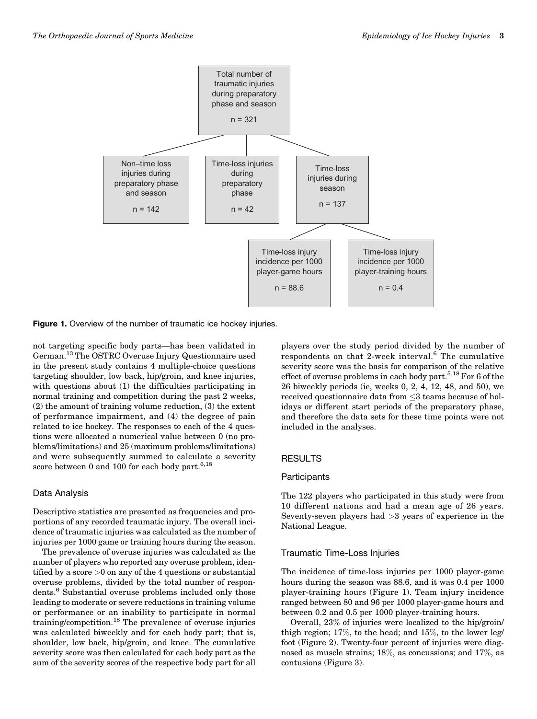

Figure 1. Overview of the number of traumatic ice hockey injuries.

not targeting specific body parts—has been validated in German.13 The OSTRC Overuse Injury Questionnaire used in the present study contains 4 multiple-choice questions targeting shoulder, low back, hip/groin, and knee injuries, with questions about (1) the difficulties participating in normal training and competition during the past 2 weeks, (2) the amount of training volume reduction, (3) the extent of performance impairment, and (4) the degree of pain related to ice hockey. The responses to each of the 4 questions were allocated a numerical value between 0 (no problems/limitations) and 25 (maximum problems/limitations) and were subsequently summed to calculate a severity score between 0 and 100 for each body part.<sup>6,18</sup>

# Data Analysis

Descriptive statistics are presented as frequencies and proportions of any recorded traumatic injury. The overall incidence of traumatic injuries was calculated as the number of injuries per 1000 game or training hours during the season.

The prevalence of overuse injuries was calculated as the number of players who reported any overuse problem, identified by a score  $>0$  on any of the 4 questions or substantial overuse problems, divided by the total number of respondents.6 Substantial overuse problems included only those leading to moderate or severe reductions in training volume or performance or an inability to participate in normal training/competition.<sup>18</sup> The prevalence of overuse injuries was calculated biweekly and for each body part; that is, shoulder, low back, hip/groin, and knee. The cumulative severity score was then calculated for each body part as the sum of the severity scores of the respective body part for all

players over the study period divided by the number of respondents on that 2-week interval. $6$  The cumulative severity score was the basis for comparison of the relative effect of overuse problems in each body part.<sup>5,18</sup> For 6 of the 26 biweekly periods (ie, weeks 0, 2, 4, 12, 48, and 50), we received questionnaire data from  ${\leq}3$  teams because of holidays or different start periods of the preparatory phase, and therefore the data sets for these time points were not included in the analyses.

# RESULTS

## **Participants**

The 122 players who participated in this study were from 10 different nations and had a mean age of 26 years. Seventy-seven players had >3 years of experience in the National League.

## Traumatic Time-Loss Injuries

The incidence of time-loss injuries per 1000 player-game hours during the season was 88.6, and it was 0.4 per 1000 player-training hours (Figure 1). Team injury incidence ranged between 80 and 96 per 1000 player-game hours and between 0.2 and 0.5 per 1000 player-training hours.

Overall, 23% of injuries were localized to the hip/groin/ thigh region; 17%, to the head; and 15%, to the lower leg/ foot (Figure 2). Twenty-four percent of injuries were diagnosed as muscle strains; 18%, as concussions; and 17%, as contusions (Figure 3).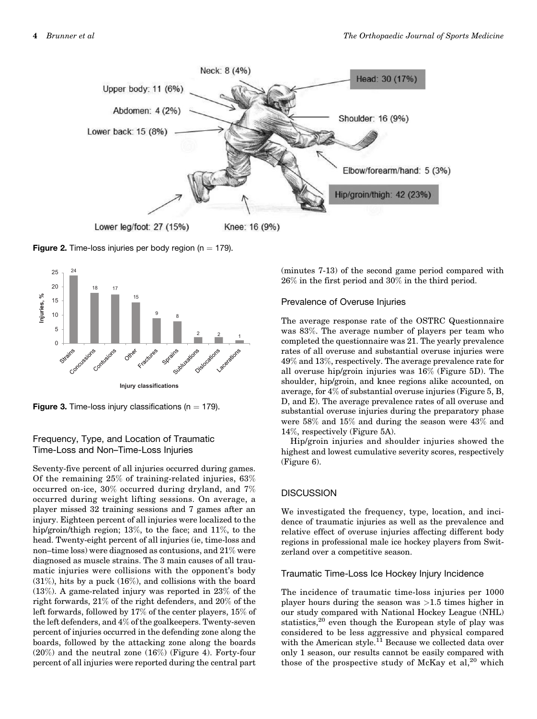

**Figure 2.** Time-loss injuries per body region ( $n = 179$ ).



**Figure 3.** Time-loss injury classifications ( $n = 179$ ).

# Frequency, Type, and Location of Traumatic Time-Loss and Non–Time-Loss Injuries

Seventy-five percent of all injuries occurred during games. Of the remaining 25% of training-related injuries, 63% occurred on-ice, 30% occurred during dryland, and 7% occurred during weight lifting sessions. On average, a player missed 32 training sessions and 7 games after an injury. Eighteen percent of all injuries were localized to the hip/groin/thigh region; 13%, to the face; and 11%, to the head. Twenty-eight percent of all injuries (ie, time-loss and non–time loss) were diagnosed as contusions, and 21% were diagnosed as muscle strains. The 3 main causes of all traumatic injuries were collisions with the opponent's body  $(31\%)$ , hits by a puck  $(16\%)$ , and collisions with the board (13%). A game-related injury was reported in 23% of the right forwards, 21% of the right defenders, and 20% of the left forwards, followed by 17% of the center players, 15% of the left defenders, and 4% of the goalkeepers. Twenty-seven percent of injuries occurred in the defending zone along the boards, followed by the attacking zone along the boards (20%) and the neutral zone (16%) (Figure 4). Forty-four percent of all injuries were reported during the central part

(minutes 7-13) of the second game period compared with 26% in the first period and 30% in the third period.

# Prevalence of Overuse Injuries

The average response rate of the OSTRC Questionnaire was 83%. The average number of players per team who completed the questionnaire was 21. The yearly prevalence rates of all overuse and substantial overuse injuries were 49% and 13%, respectively. The average prevalence rate for all overuse hip/groin injuries was 16% (Figure 5D). The shoulder, hip/groin, and knee regions alike accounted, on average, for 4% of substantial overuse injuries (Figure 5, B, D, and E). The average prevalence rates of all overuse and substantial overuse injuries during the preparatory phase were 58% and 15% and during the season were 43% and 14%, respectively (Figure 5A).

Hip/groin injuries and shoulder injuries showed the highest and lowest cumulative severity scores, respectively (Figure 6).

# **DISCUSSION**

We investigated the frequency, type, location, and incidence of traumatic injuries as well as the prevalence and relative effect of overuse injuries affecting different body regions in professional male ice hockey players from Switzerland over a competitive season.

## Traumatic Time-Loss Ice Hockey Injury Incidence

The incidence of traumatic time-loss injuries per 1000 player hours during the season was >1.5 times higher in our study compared with National Hockey League (NHL) statistics,<sup>20</sup> even though the European style of play was considered to be less aggressive and physical compared with the American style.<sup>11</sup> Because we collected data over only 1 season, our results cannot be easily compared with those of the prospective study of McKay et  $al$ ,<sup>20</sup> which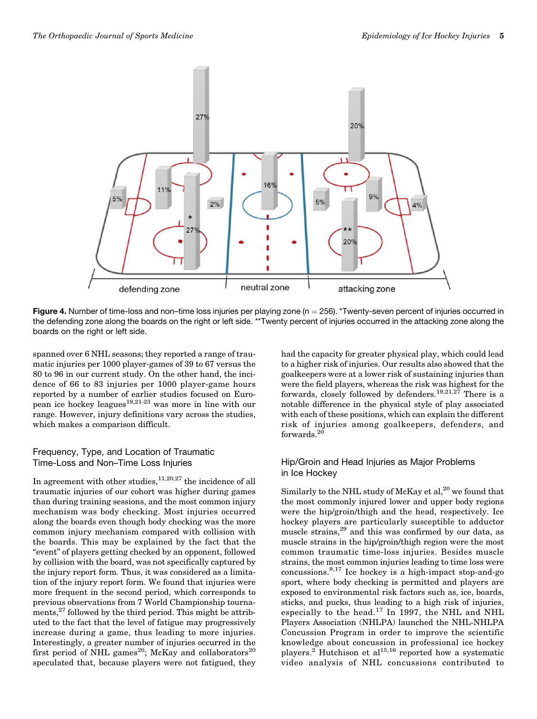

Figure 4. Number of time-loss and non–time loss injuries per playing zone ( $n = 256$ ). \*Twenty-seven percent of injuries occurred in the defending zone along the boards on the right or left side. \*\*Twenty percent of injuries occurred in the attacking zone along the boards on the right or left side.

spanned over 6 NHL seasons; they reported a range of traumatic injuries per 1000 player-games of 39 to 67 versus the 80 to 96 in our current study. On the other hand, the incidence of 66 to 83 injuries per 1000 player-game hours reported by a number of earlier studies focused on European ice hockey leagues<sup>19,21-23</sup> was more in line with our range. However, injury definitions vary across the studies, which makes a comparison difficult.

# Frequency, Type, and Location of Traumatic Time-Loss and Non–Time Loss Injuries

In agreement with other studies, $11,20,27$  the incidence of all traumatic injuries of our cohort was higher during games than during training sessions, and the most common injury mechanism was body checking. Most injuries occurred along the boards even though body checking was the more common injury mechanism compared with collision with the boards. This may be explained by the fact that the "event" of players getting checked by an opponent, followed by collision with the board, was not specifically captured by the injury report form. Thus, it was considered as a limitation of the injury report form. We found that injuries were more frequent in the second period, which corresponds to previous observations from 7 World Championship tournaments, $^{27}$  followed by the third period. This might be attributed to the fact that the level of fatigue may progressively increase during a game, thus leading to more injuries. Interestingly, a greater number of injuries occurred in the first period of NHL games<sup>20</sup>; McKay and collaborators<sup>20</sup> speculated that, because players were not fatigued, they

had the capacity for greater physical play, which could lead to a higher risk of injuries. Our results also showed that the goalkeepers were at a lower risk of sustaining injuries than were the field players, whereas the risk was highest for the forwards, closely followed by defenders.<sup>19,21,27</sup> There is a notable difference in the physical style of play associated with each of these positions, which can explain the different risk of injuries among goalkeepers, defenders, and forwards.<sup>20</sup>

# Hip/Groin and Head Injuries as Major Problems in Ice Hockey

Similarly to the NHL study of McKay et al, $^{20}$  we found that the most commonly injured lower and upper body regions were the hip/groin/thigh and the head, respectively. Ice hockey players are particularly susceptible to adductor muscle strains,<sup>29</sup> and this was confirmed by our data, as muscle strains in the hip/groin/thigh region were the most common traumatic time-loss injuries. Besides muscle strains, the most common injuries leading to time loss were concussions. $9,17$  Ice hockey is a high-impact stop-and-go sport, where body checking is permitted and players are exposed to environmental risk factors such as, ice, boards, sticks, and pucks, thus leading to a high risk of injuries, especially to the head.<sup>17</sup> In 1997, the NHL and NHL Players Association (NHLPA) launched the NHL-NHLPA Concussion Program in order to improve the scientific knowledge about concussion in professional ice hockey players.<sup>2</sup> Hutchison et al<sup>15,16</sup> reported how a systematic video analysis of NHL concussions contributed to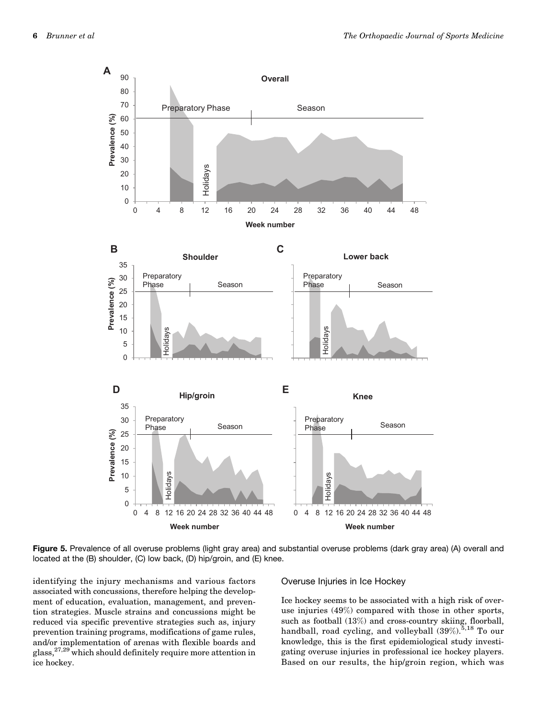![](_page_5_Figure_2.jpeg)

Figure 5. Prevalence of all overuse problems (light gray area) and substantial overuse problems (dark gray area) (A) overall and located at the (B) shoulder, (C) low back, (D) hip/groin, and (E) knee.

identifying the injury mechanisms and various factors associated with concussions, therefore helping the development of education, evaluation, management, and prevention strategies. Muscle strains and concussions might be reduced via specific preventive strategies such as, injury prevention training programs, modifications of game rules, and/or implementation of arenas with flexible boards and glass,27,29 which should definitely require more attention in ice hockey.

#### Overuse Injuries in Ice Hockey

Ice hockey seems to be associated with a high risk of overuse injuries (49%) compared with those in other sports, such as football (13%) and cross-country skiing, floorball, handball, road cycling, and volleyball  $(39\%).^{5,18}$  To our knowledge, this is the first epidemiological study investigating overuse injuries in professional ice hockey players. Based on our results, the hip/groin region, which was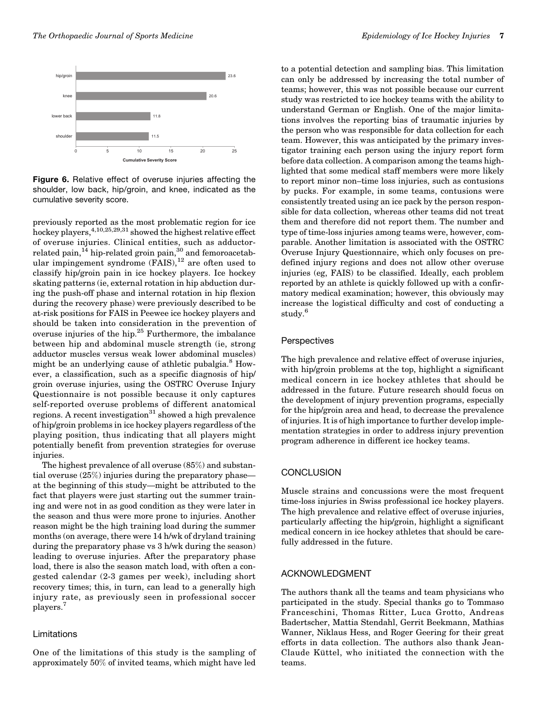![](_page_6_Figure_2.jpeg)

Figure 6. Relative effect of overuse injuries affecting the shoulder, low back, hip/groin, and knee, indicated as the cumulative severity score.

previously reported as the most problematic region for ice hockey players,  $4,10,25,29,31$  showed the highest relative effect of overuse injuries. Clinical entities, such as adductorrelated pain,<sup>14</sup> hip-related groin pain,<sup>30</sup> and femoroacetabular impingement syndrome  $(FAIS)$ ,<sup>12</sup> are often used to classify hip/groin pain in ice hockey players. Ice hockey skating patterns (ie, external rotation in hip abduction during the push-off phase and internal rotation in hip flexion during the recovery phase) were previously described to be at-risk positions for FAIS in Peewee ice hockey players and should be taken into consideration in the prevention of overuse injuries of the hip.25 Furthermore, the imbalance between hip and abdominal muscle strength (ie, strong adductor muscles versus weak lower abdominal muscles) might be an underlying cause of athletic pubalgia. $8$  However, a classification, such as a specific diagnosis of hip/ groin overuse injuries, using the OSTRC Overuse Injury Questionnaire is not possible because it only captures self-reported overuse problems of different anatomical regions. A recent investigation<sup>31</sup> showed a high prevalence of hip/groin problems in ice hockey players regardless of the playing position, thus indicating that all players might potentially benefit from prevention strategies for overuse injuries.

The highest prevalence of all overuse (85%) and substantial overuse (25%) injuries during the preparatory phase at the beginning of this study—might be attributed to the fact that players were just starting out the summer training and were not in as good condition as they were later in the season and thus were more prone to injuries. Another reason might be the high training load during the summer months (on average, there were 14 h/wk of dryland training during the preparatory phase vs 3 h/wk during the season) leading to overuse injuries. After the preparatory phase load, there is also the season match load, with often a congested calendar (2-3 games per week), including short recovery times; this, in turn, can lead to a generally high injury rate, as previously seen in professional soccer players.<sup>7</sup>

#### Limitations

One of the limitations of this study is the sampling of approximately 50% of invited teams, which might have led

to a potential detection and sampling bias. This limitation can only be addressed by increasing the total number of teams; however, this was not possible because our current study was restricted to ice hockey teams with the ability to understand German or English. One of the major limitations involves the reporting bias of traumatic injuries by the person who was responsible for data collection for each team. However, this was anticipated by the primary investigator training each person using the injury report form before data collection. A comparison among the teams highlighted that some medical staff members were more likely to report minor non–time loss injuries, such as contusions by pucks. For example, in some teams, contusions were consistently treated using an ice pack by the person responsible for data collection, whereas other teams did not treat them and therefore did not report them. The number and type of time-loss injuries among teams were, however, comparable. Another limitation is associated with the OSTRC Overuse Injury Questionnaire, which only focuses on predefined injury regions and does not allow other overuse injuries (eg, FAIS) to be classified. Ideally, each problem reported by an athlete is quickly followed up with a confirmatory medical examination; however, this obviously may increase the logistical difficulty and cost of conducting a study.<sup>6</sup>

## **Perspectives**

The high prevalence and relative effect of overuse injuries, with hip/groin problems at the top, highlight a significant medical concern in ice hockey athletes that should be addressed in the future. Future research should focus on the development of injury prevention programs, especially for the hip/groin area and head, to decrease the prevalence of injuries. It is of high importance to further develop implementation strategies in order to address injury prevention program adherence in different ice hockey teams.

## **CONCLUSION**

Muscle strains and concussions were the most frequent time-loss injuries in Swiss professional ice hockey players. The high prevalence and relative effect of overuse injuries, particularly affecting the hip/groin, highlight a significant medical concern in ice hockey athletes that should be carefully addressed in the future.

## ACKNOWLEDGMENT

The authors thank all the teams and team physicians who participated in the study. Special thanks go to Tommaso Franceschini, Thomas Ritter, Luca Grotto, Andreas Badertscher, Mattia Stendahl, Gerrit Beekmann, Mathias Wanner, Niklaus Hess, and Roger Geering for their great efforts in data collection. The authors also thank Jean-Claude Küttel, who initiated the connection with the teams.